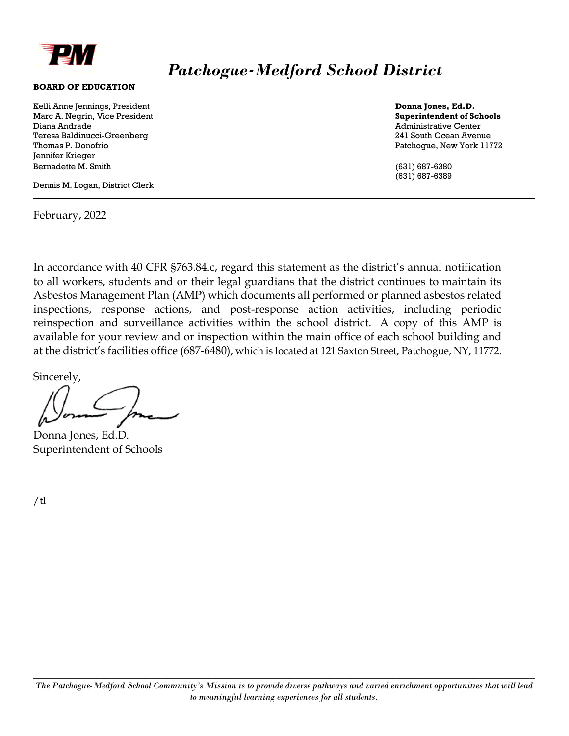

## *Patchogue-Medford School District*

## **BOARD OF EDUCATION**

Kelli Anne Jennings, President **Donna Jones, Ed.D.**  Marc A. Negrin, Vice President **Superintendent of Schools** Diana Andrade **Administrative Center** Administrative Center Teresa Baldinucci-Greenberg 241 South Ocean Avenue Thomas P. Donofrio Patchogue, New York 11772 Jennifer Krieger Bernadette M. Smith (631) 687-6380

Dennis M. Logan, District Clerk

February, 2022

(631) 687-6389

In accordance with 40 CFR §763.84.c, regard this statement as the district's annual notification to all workers, students and or their legal guardians that the district continues to maintain its Asbestos Management Plan (AMP) which documents all performed or planned asbestos related inspections, response actions, and post-response action activities, including periodic reinspection and surveillance activities within the school district. A copy of this AMP is available for your review and or inspection within the main office of each school building and at the district's facilities office (687-6480), which is located at 121 Saxton Street, Patchogue, NY, 11772.

Sincerely,

Donna Jones, Ed.D. Superintendent of Schools

/tl